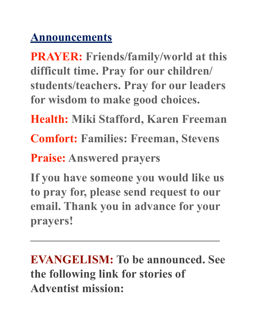## **Announcements**

**PRAYER: Friends/family/world at this difficult time. Pray for our children/ students/teachers. Pray for our leaders for wisdom to make good choices.** 

**Health: Miki Stafford, Karen Freeman** 

**Comfort: Families: Freeman, Stevens** 

**Praise: Answered prayers** 

**If you have someone you would like us to pray for, please send request to our email. Thank you in advance for your prayers!**

**EVANGELISM: To be announced. See the following link for stories of Adventist mission:** 

 $\overline{\phantom{a}}$  , which is a set of the contract of the contract of the contract of the contract of the contract of the contract of the contract of the contract of the contract of the contract of the contract of the contract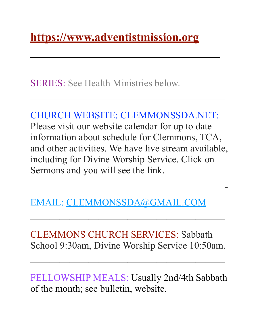SERIES: See Health Ministries below.

## CHURCH WEBSITE: [CLEMMONSSDA.NET:](http://CLEMMONSSDA.NET)

 $\frac{1}{\sqrt{2}}$  , which is the contract of the contract of the contract of the contract of the contract of the contract of the contract of the contract of the contract of the contract of the contract of the contract of the c

**————————————————** 

Please visit our website calendar for up to date information about schedule for Clemmons, TCA, and other activities. We have live stream available, including for Divine Worship Service. Click on Sermons and you will see the link.

————————————————————-

EMAIL: [CLEMMONSSDA@GMAIL.COM](mailto:CLEMMONSSDA@GMAIL.COM)

CLEMMONS CHURCH SERVICES: Sabbath School 9:30am, Divine Worship Service 10:50am.

 $\frac{1}{\sqrt{2}}$  , which is the contract of the contract of the contract of the contract of the contract of the contract of the contract of the contract of the contract of the contract of the contract of the contract of the c

 $\overline{\phantom{a}}$  , and the contract of the contract of the contract of the contract of the contract of the contract of the contract of the contract of the contract of the contract of the contract of the contract of the contrac

FELLOWSHIP MEALS: Usually 2nd/4th Sabbath of the month; see bulletin, website.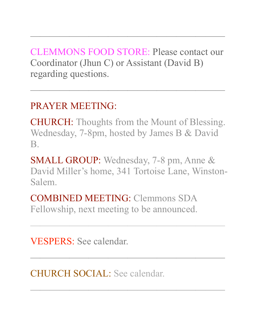CLEMMONS FOOD STORE: Please contact our Coordinator (Jhun C) or Assistant (David B) regarding questions.

 $\frac{1}{\sqrt{2}}$  , which is the contract of the contract of the contract of the contract of the contract of the contract of the contract of the contract of the contract of the contract of the contract of the contract of the c

 $\frac{1}{\sqrt{2}}$  , which is the contract of the contract of the contract of the contract of the contract of the contract of the contract of the contract of the contract of the contract of the contract of the contract of the c

## PRAYER MEETING:

CHURCH: Thoughts from the Mount of Blessing. Wednesday, 7-8pm, hosted by James B & David B.

SMALL GROUP: Wednesday, 7-8 pm, Anne & David Miller's home, 341 Tortoise Lane, Winston-Salem.

 $\overline{\phantom{a}}$  , and the contract of the contract of the contract of the contract of the contract of the contract of the contract of the contract of the contract of the contract of the contract of the contract of the contrac

 $\frac{1}{\sqrt{2}}$  , which is the contract of the contract of the contract of the contract of the contract of the contract of the contract of the contract of the contract of the contract of the contract of the contract of the c

 $\frac{1}{\sqrt{2}}$  , and the contract of the contract of the contract of the contract of the contract of the contract of the contract of the contract of the contract of the contract of the contract of the contract of the contra

COMBINED MEETING: Clemmons SDA Fellowship, next meeting to be announced.

VESPERS: See calendar.

CHURCH SOCIAL: See calendar.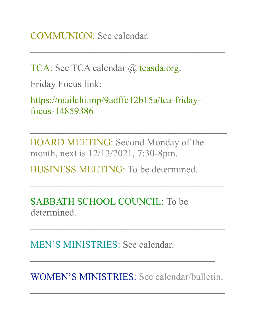COMMUNION: See calendar.

TCA: See TCA calendar @ [tcasda.org](http://tcasda.org).

Friday Focus link:

https://mailchi.mp/9adffc12b15a/tca-fridayfocus-14859386

 $\frac{1}{\sqrt{2}}$  , which is the contract of the contract of the contract of the contract of the contract of the contract of the contract of the contract of the contract of the contract of the contract of the contract of the c

BOARD MEETING: Second Monday of the month, next is 12/13/2021, 7:30-8pm.

—————————————————————————————

 $\frac{1}{\sqrt{2}}$  , which is the contract of the contract of the contract of the contract of the contract of the contract of the contract of the contract of the contract of the contract of the contract of the contract of the c

 $\frac{1}{\sqrt{2}}$  , which is the contract of the contract of the contract of the contract of the contract of the contract of the contract of the contract of the contract of the contract of the contract of the contract of the c

BUSINESS MEETING: To be determined.

SABBATH SCHOOL COUNCIL: To be determined.

MEN'S MINISTRIES: See calendar.

WOMEN'S MINISTRIES: See calendar/bulletin.

 $\frac{1}{\sqrt{2}}$  , which is the contract of the contract of the contract of the contract of the contract of the contract of the contract of the contract of the contract of the contract of the contract of the contract of the c

 $\overline{\phantom{a}}$  , and the contract of the contract of the contract of the contract of the contract of the contract of the contract of the contract of the contract of the contract of the contract of the contract of the contrac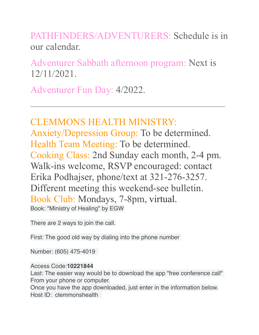PATHFINDERS/ADVENTURERS: Schedule is in our calendar.

Adventurer Sabbath afternoon program: Next is 12/11/2021.

 $\overline{\phantom{a}}$  , and the contract of the contract of the contract of the contract of the contract of the contract of the contract of the contract of the contract of the contract of the contract of the contract of the contrac

Adventurer Fun Day: 4/2022.

## CLEMMONS HEALTH MINISTRY:

Anxiety/Depression Group: To be determined. Health Team Meeting: To be determined. Cooking Class: 2nd Sunday each month, 2-4 pm. Walk-ins welcome, RSVP encouraged: contact Erika Podhajser, phone/text at 321-276-3257. Different meeting this weekend-see bulletin. Book Club: Mondays, 7-8pm, virtual. Book: "Ministry of Healing" by EGW

There are 2 ways to join the call.

First: The good old way by dialing into the phone number

Number: (605) 475-4019

Access Code:**10221844**

Last: The easier way would be to download the app "free conference call" From your phone or computer.

Once you have the app downloaded, just enter in the information below. Host ID: clemmonshealth